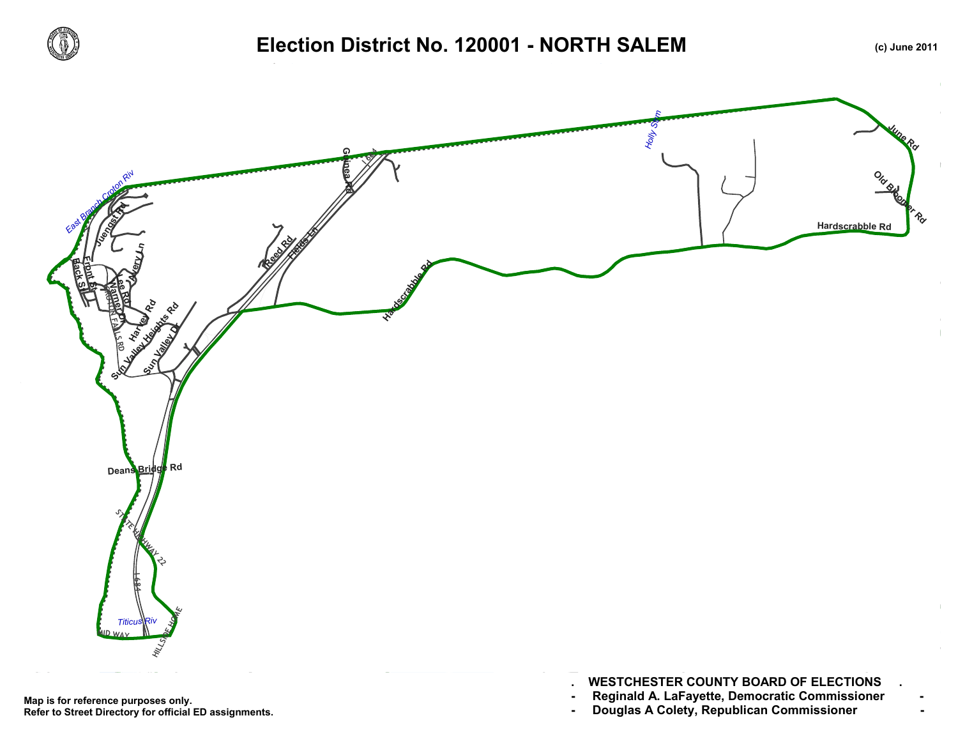

## Election District No. 120001 - NORTH SALEM **(c)** June 2011





- **. WESTCHESTER COUNTY BOARD OF ELECTIONS .**
- 
-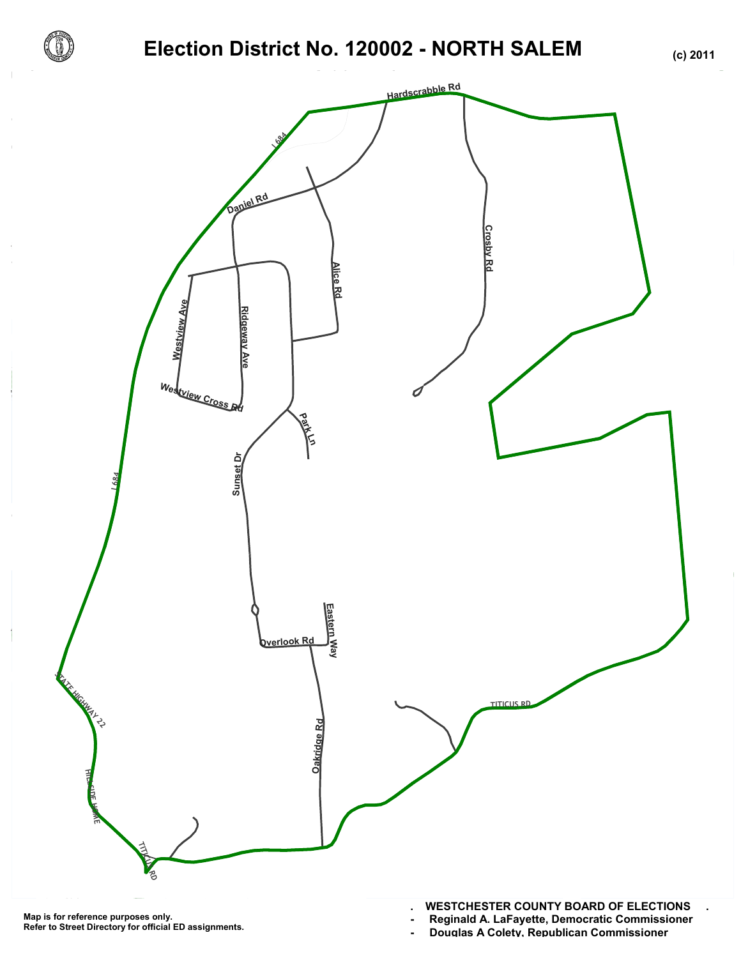

## **Election District No. 120002 - NORTH SALEM (c) 2011**



**Map is for reference purposes only. Refer to Street Directory for official ED assignments.** **- Reginald A. LaFayette, Democratic Commissioner -**

- Douglas A Colety, Republican Commissioner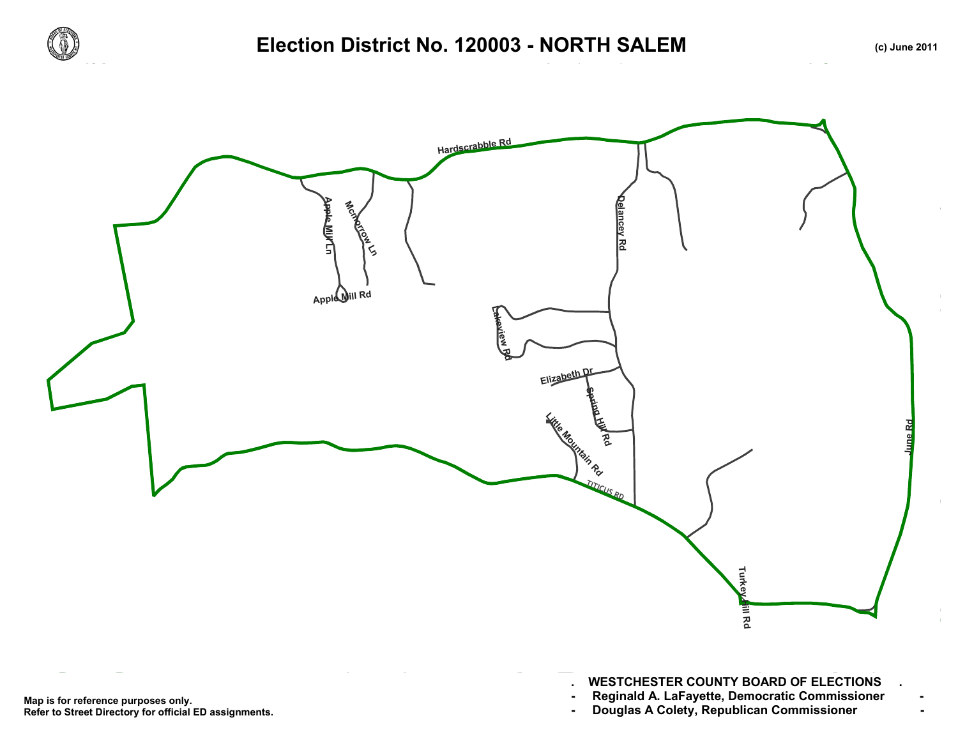

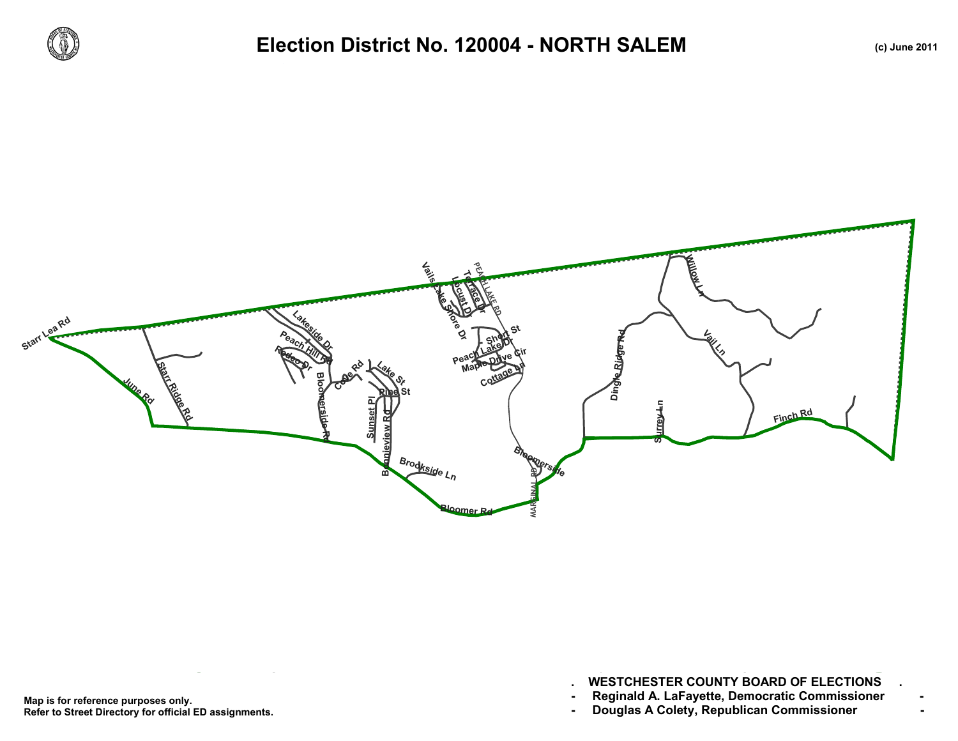



Map is for reference purposes only. Reginald A. LaFayette, Democratic Commissioner<br>Refer to Street Directory for official ED assignments. Douglas A Colety, Republican Com **Refer to Street Directory for official ED assignments.**

**. WESTCHESTER COUNTY BOARD OF ELECTIONS .**

- 
-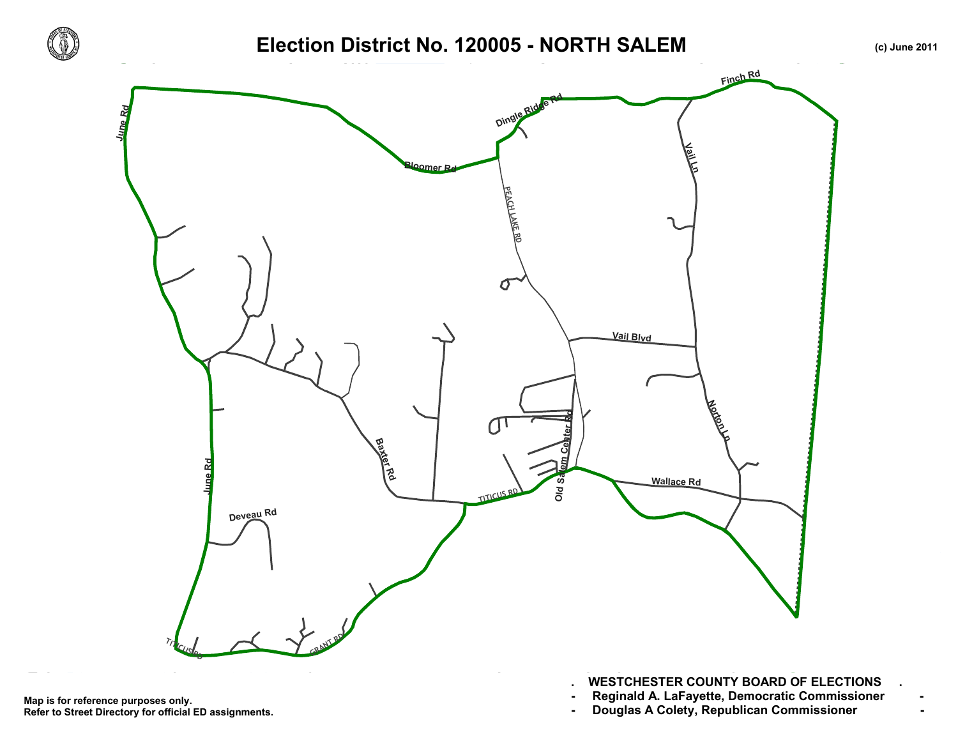

## Election District No. 120005 - NORTH SALEM **(c)** June 2011



- **. WESTCHESTER COUNTY BOARD OF ELECTIONS .**
- 
-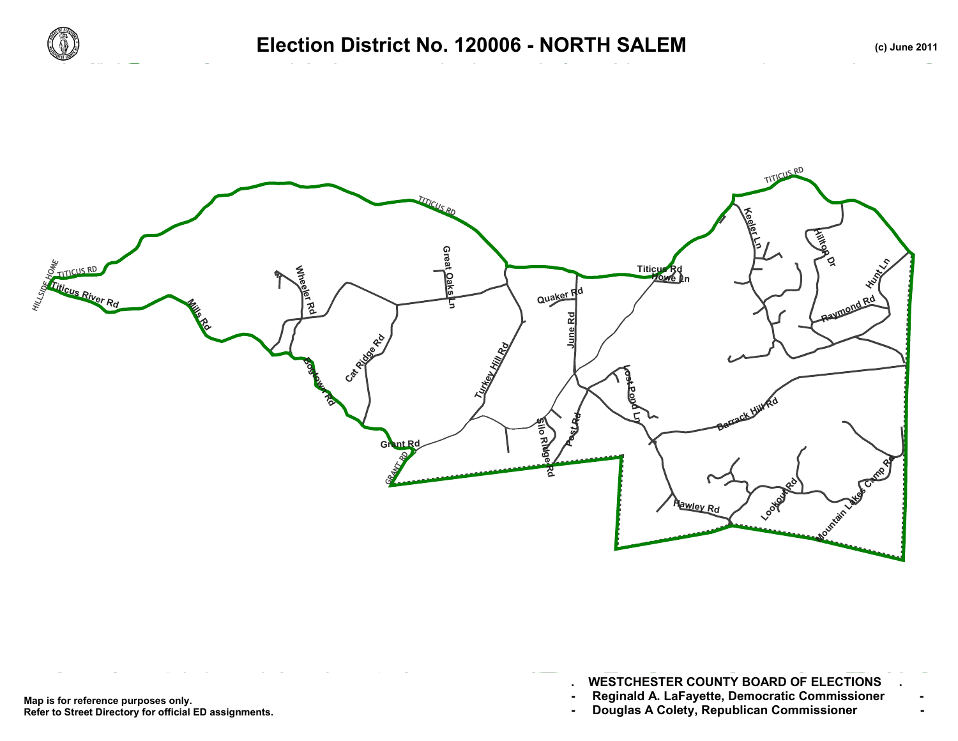



- **. WESTCHESTER COUNTY BOARD OF ELECTIONS .**
- 
-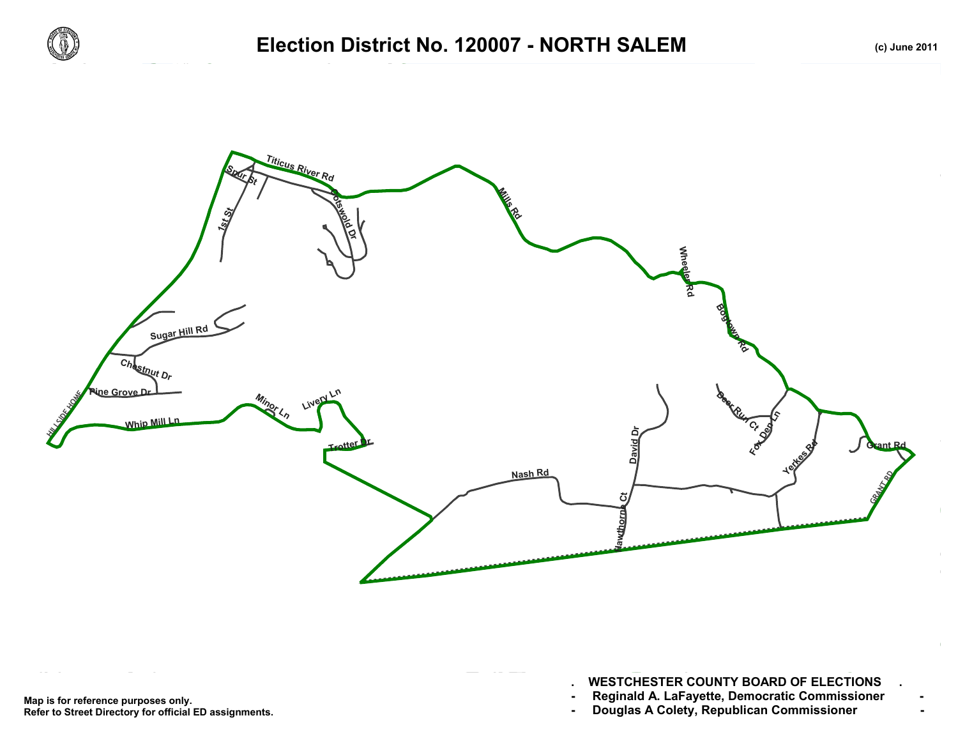



Map is for reference purposes only. Reginald A. LaFayette, Democratic Commissioner<br>Refer to Street Directory for official ED assignments. Douglas A Colety, Republican Com **Refer to Street Directory for official ED assignments.**

**. WESTCHESTER COUNTY BOARD OF ELECTIONS .**

- 
-